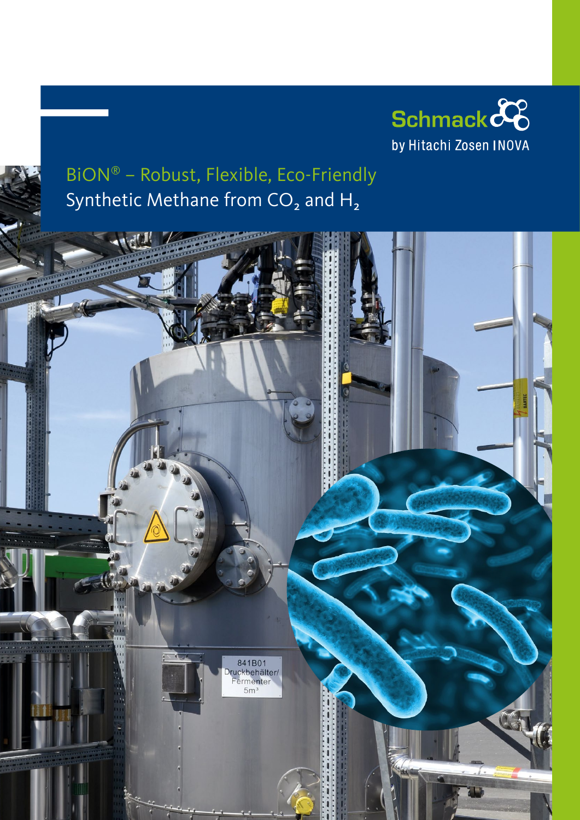

# BiON® – Robust, Flexible, Eco-Friendly Synthetic Methane from CO<sub>2</sub> and H<sub>2</sub>

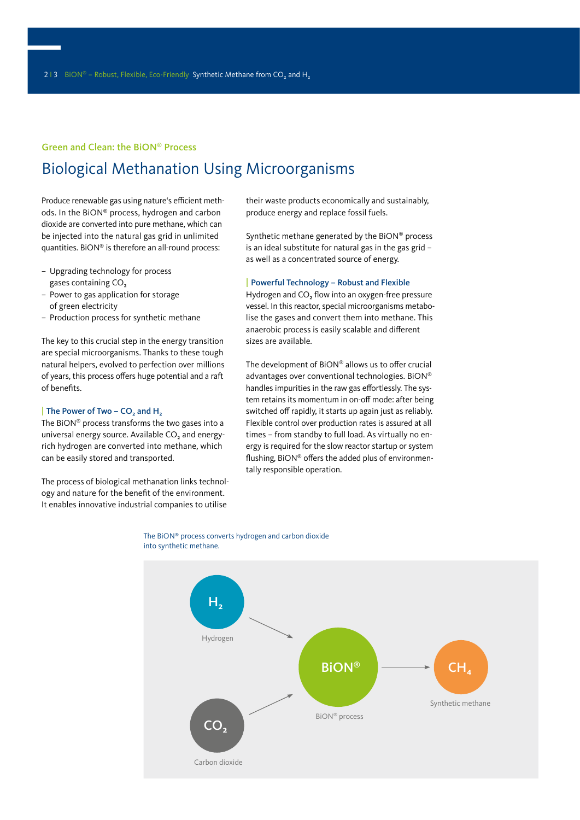#### Green and Clean: the BiON® Process

# Biological Methanation Using Microorganisms

Produce renewable gas using nature's efficient methods. In the BiON® process, hydrogen and carbon dioxide are converted into pure methane, which can be injected into the natural gas grid in unlimited quantities. BiON® is therefore an all-round process:

- Upgrading technology for process gases containing CO₂
- Power to gas application for storage of green electricity
- Production process for synthetic methane

The key to this crucial step in the energy transition are special microorganisms. Thanks to these tough natural helpers, evolved to perfection over millions of years, this process offers huge potential and a raft of benefits.

#### | The Power of Two – CO₂ and H₂

The BiON® process transforms the two gases into a universal energy source. Available CO<sub>2</sub> and energyrich hydrogen are converted into methane, which can be easily stored and transported.

The process of biological methanation links technology and nature for the benefit of the environment. It enables innovative industrial companies to utilise

their waste products economically and sustainably, produce energy and replace fossil fuels.

Synthetic methane generated by the BiON® process is an ideal substitute for natural gas in the gas grid – as well as a concentrated source of energy.

#### | Powerful Technology – Robust and Flexible

Hydrogen and CO₂ flow into an oxygen-free pressure vessel. In this reactor, special microorganisms metabolise the gases and convert them into methane. This anaerobic process is easily scalable and different sizes are available.

The development of BiON® allows us to offer crucial advantages over conventional technologies. BiON® handles impurities in the raw gas effortlessly. The system retains its momentum in on-off mode: after being switched off rapidly, it starts up again just as reliably. Flexible control over production rates is assured at all times – from standby to full load. As virtually no energy is required for the slow reactor startup or system flushing, BiON® offers the added plus of environmentally responsible operation.



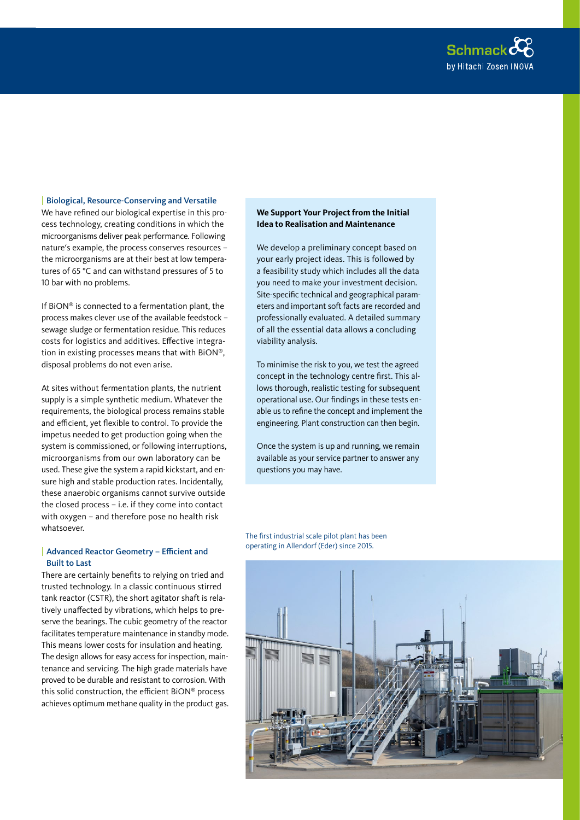

### | Biological, Resource-Conserving and Versatile

We have refined our biological expertise in this process technology, creating conditions in which the microorganisms deliver peak performance. Following nature's example, the process conserves resources – the microorganisms are at their best at low temperatures of 65 °C and can withstand pressures of 5 to 10 bar with no problems.

If BiON® is connected to a fermentation plant, the process makes clever use of the available feedstock – sewage sludge or fermentation residue. This reduces costs for logistics and additives. Effective integration in existing processes means that with BiON®, disposal problems do not even arise.

At sites without fermentation plants, the nutrient supply is a simple synthetic medium. Whatever the requirements, the biological process remains stable and efficient, yet flexible to control. To provide the impetus needed to get production going when the system is commissioned, or following interruptions, microorganisms from our own laboratory can be used. These give the system a rapid kickstart, and ensure high and stable production rates. Incidentally, these anaerobic organisms cannot survive outside the closed process – i.e. if they come into contact with oxygen – and therefore pose no health risk whatsoever.

#### | Advanced Reactor Geometry – Efficient and Built to Last

There are certainly benefits to relying on tried and trusted technology. In a classic continuous stirred tank reactor (CSTR), the short agitator shaft is relatively unaffected by vibrations, which helps to preserve the bearings. The cubic geometry of the reactor facilitates temperature maintenance in standby mode. This means lower costs for insulation and heating. The design allows for easy access for inspection, maintenance and servicing. The high grade materials have proved to be durable and resistant to corrosion. With this solid construction, the efficient BiON® process achieves optimum methane quality in the product gas.

# **We Support Your Project from the Initial Idea to Realisation and Maintenance**

We develop a preliminary concept based on your early project ideas. This is followed by a feasibility study which includes all the data you need to make your investment decision. Site-specific technical and geographical parameters and important soft facts are recorded and professionally evaluated. A detailed summary of all the essential data allows a concluding viability analysis.

To minimise the risk to you, we test the agreed concept in the technology centre first. This allows thorough, realistic testing for subsequent operational use. Our findings in these tests enable us to refine the concept and implement the engineering. Plant construction can then begin.

Once the system is up and running, we remain available as your service partner to answer any questions you may have.

The first industrial scale pilot plant has been operating in Allendorf (Eder) since 2015.

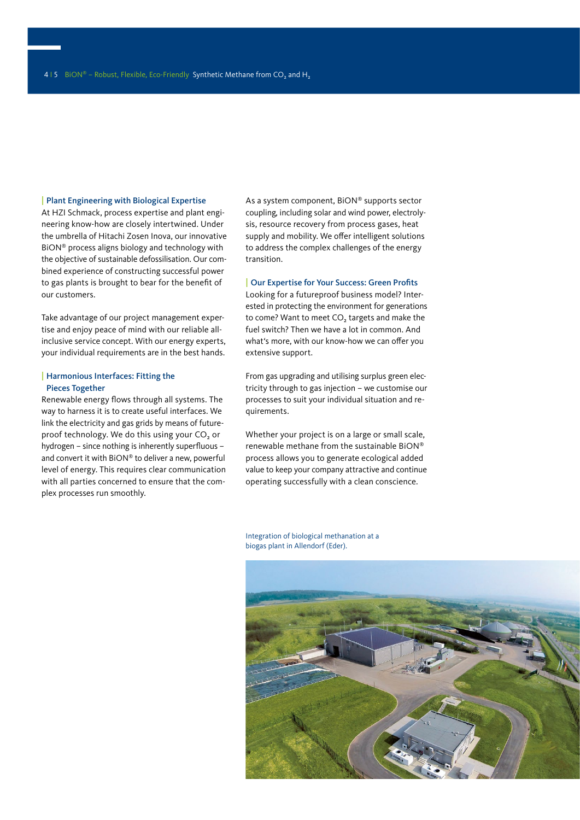#### | Plant Engineering with Biological Expertise

At HZI Schmack, process expertise and plant engineering know-how are closely intertwined. Under the umbrella of Hitachi Zosen Inova, our innovative BiON® process aligns biology and technology with the objective of sustainable defossilisation. Our combined experience of constructing successful power to gas plants is brought to bear for the benefit of our customers.

Take advantage of our project management expertise and enjoy peace of mind with our reliable allinclusive service concept. With our energy experts, your individual requirements are in the best hands.

#### | Harmonious Interfaces: Fitting the Pieces Together

Renewable energy flows through all systems. The way to harness it is to create useful interfaces. We link the electricity and gas grids by means of futureproof technology. We do this using your CO₂ or hydrogen – since nothing is inherently superfluous – and convert it with BiON® to deliver a new, powerful level of energy. This requires clear communication with all parties concerned to ensure that the complex processes run smoothly.

As a system component, BiON® supports sector coupling, including solar and wind power, electrolysis, resource recovery from process gases, heat supply and mobility. We offer intelligent solutions to address the complex challenges of the energy transition.

#### | Our Expertise for Your Success: Green Profits

Looking for a futureproof business model? Interested in protecting the environment for generations to come? Want to meet CO₂ targets and make the fuel switch? Then we have a lot in common. And what's more, with our know-how we can offer you extensive support.

From gas upgrading and utilising surplus green electricity through to gas injection – we customise our processes to suit your individual situation and requirements.

Whether your project is on a large or small scale, renewable methane from the sustainable BiON® process allows you to generate ecological added value to keep your company attractive and continue operating successfully with a clean conscience.

Integration of biological methanation at a biogas plant in Allendorf (Eder).

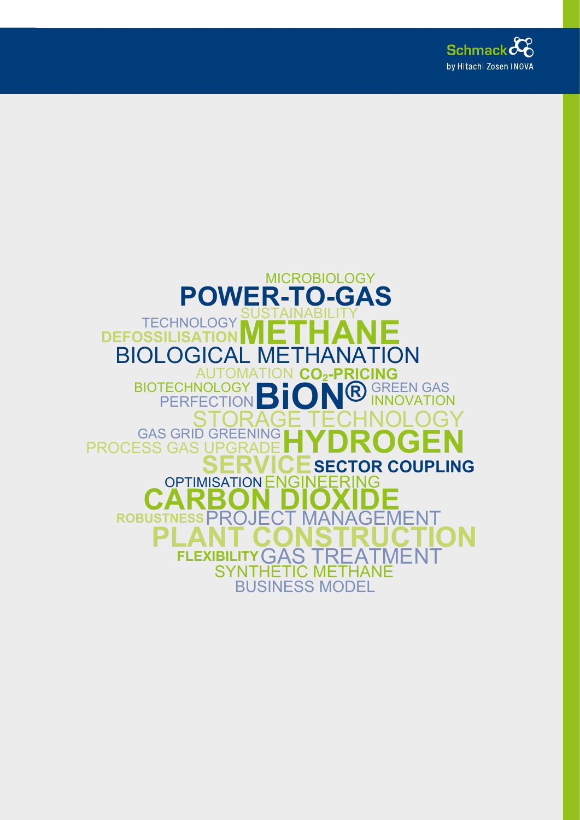